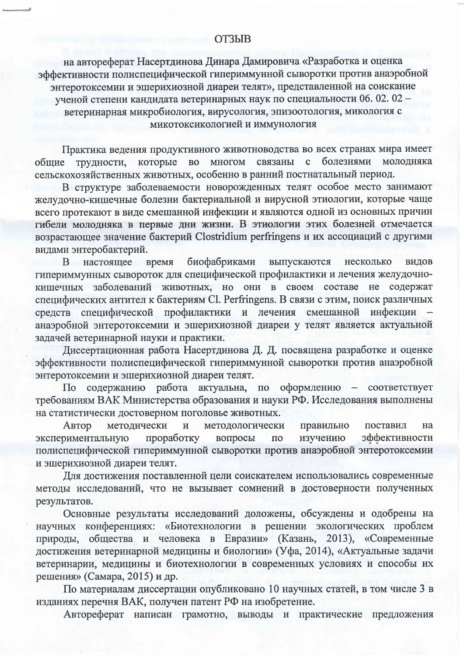на автореферат Насертдинова Динара Дамировича «Разработка и оценка эффективности полиспецифической гипериммунной сыворотки против анаэробной<br>энтеротоксемии и эшерихиозной диареи телят», представленной на соискание ученой степени кандидата ветеринарных наук по специальности 06. 02. 02 ветеринарная микробиология, вирусология, эпизоотология, микология с -<br>микотоксикологией и иммунология

Практика ведения продуктивного животноводства во всех странах мира имеет общие трудности, которые болезнями молодняка  $B<sub>0</sub>$ многом связаны  $\mathbf{c}$ сельскохозяйственных животных, особенно в ранний постнатальный период.

В структуре заболеваемости новорожденных телят особое место занимают желудочно-кишечные болезни бактериальной и вирусной этиологии, которые чаще всего протекают в виде смешанной инфекции и являются одной из основных причин гибели молодняка в первые дни жизни. В этиологии этих болезней отмечается возрастающее значение бактерий Clostridium perfringens и их ассоциаций с другими видами энтеробактерий.

B. настоящее время биофабриками выпускаются несколько видов ипериммунных сывороток для специфической профилактики и лечения желудочно-<br>кишечных заболеваний животных, но они в своем составе не содержат<br>специфических антител к бактериям Cl. Perfringens. В связи с этим, поиск различн задачей ветеринарной науки и практики.

Диссертационная работа Насертдинова Д. Д. посвящена разработке и оценке эффективности полиспецифической гипериммунной сыворотки против анаэробной энтеротоксемии и эшерихиозной диареи телят.

По содержанию работа актуальна, по оформлению - соответствует<br>требованиям ВАК Министерства образования и науки РФ. Исследования выполнены на статистически достоверном поголовье животных.

Автор методически методологически правильно  $\overline{\mathbf{M}}$ поставил на проработку вопросы изучению эффективности экспериментальную  $\overline{10}$ полиспецифической гипериммунной сыворотки против анаэробной энтеротоксемии и эшерихиозной диареи телят.

Для достижения поставленной цели соискателем использовались современные методы исследований, что не вызывает сомнений в достоверности полученных результатов.

Основные результаты исследований доложены, обсуждены и одобрены на научных конференциях: «Биотехнологии в решении экологических проблем природы, общества и человека в Евразии» (Казань, 2013), «Современные достижения ветеринарной медицины и биологии» (Уфа, 2014), «Актуальные задачи ветеринарии, медицины и биотехнологии в современных условиях и способы их решения» (Самара, 2015) и др.

По материалам диссертации опубликовано 10 научных статей, в том числе 3 в изданиях перечня ВАК, получен патент РФ на изобретение.

Автореферат написан грамотно, выводы и практические предложения